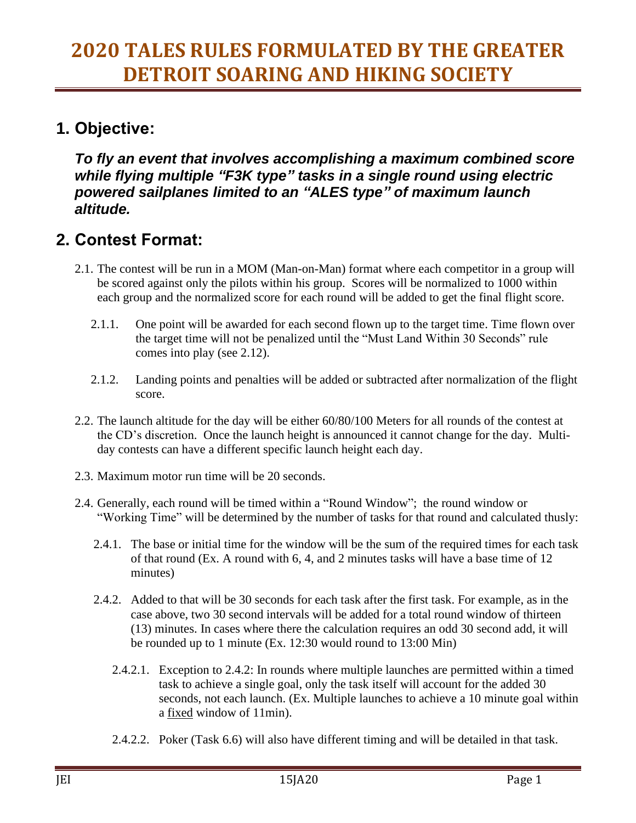#### **1. Objective:**

*To fly an event that involves accomplishing a maximum combined score while flying multiple "F3K type" tasks in a single round using electric powered sailplanes limited to an "ALES type" of maximum launch altitude.*

#### **2. Contest Format:**

- 2.1. The contest will be run in a MOM (Man-on-Man) format where each competitor in a group will be scored against only the pilots within his group. Scores will be normalized to 1000 within each group and the normalized score for each round will be added to get the final flight score.
	- 2.1.1. One point will be awarded for each second flown up to the target time. Time flown over the target time will not be penalized until the "Must Land Within 30 Seconds" rule comes into play (see 2.12).
	- 2.1.2. Landing points and penalties will be added or subtracted after normalization of the flight score.
- 2.2. The launch altitude for the day will be either 60/80/100 Meters for all rounds of the contest at the CD's discretion. Once the launch height is announced it cannot change for the day. Multiday contests can have a different specific launch height each day.
- 2.3. Maximum motor run time will be 20 seconds.
- 2.4. Generally, each round will be timed within a "Round Window"; the round window or "Working Time" will be determined by the number of tasks for that round and calculated thusly:
	- 2.4.1. The base or initial time for the window will be the sum of the required times for each task of that round (Ex. A round with 6, 4, and 2 minutes tasks will have a base time of 12 minutes)
	- 2.4.2. Added to that will be 30 seconds for each task after the first task. For example, as in the case above, two 30 second intervals will be added for a total round window of thirteen (13) minutes. In cases where there the calculation requires an odd 30 second add, it will be rounded up to 1 minute (Ex. 12:30 would round to 13:00 Min)
		- 2.4.2.1. Exception to 2.4.2: In rounds where multiple launches are permitted within a timed task to achieve a single goal, only the task itself will account for the added 30 seconds, not each launch. (Ex. Multiple launches to achieve a 10 minute goal within a fixed window of 11min).
		- 2.4.2.2. Poker (Task 6.6) will also have different timing and will be detailed in that task.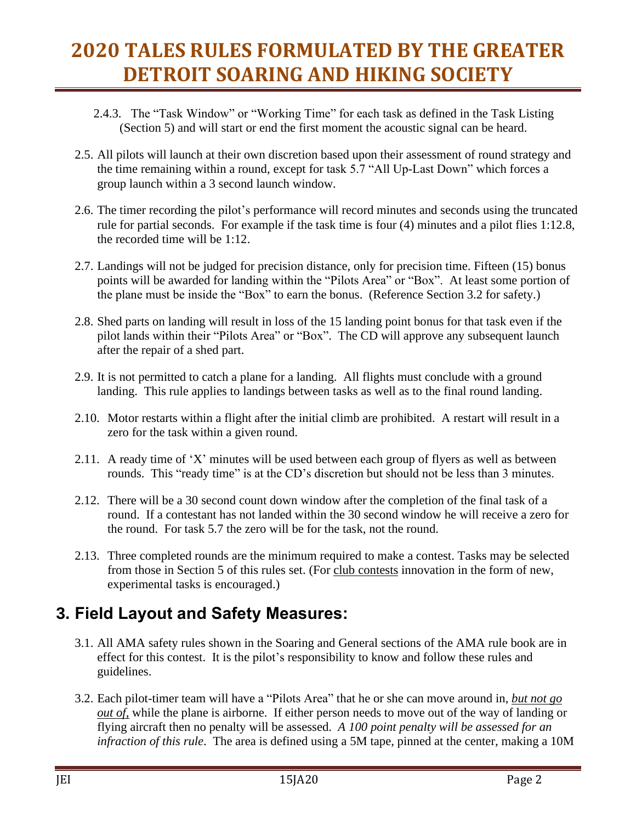- 2.4.3. The "Task Window" or "Working Time" for each task as defined in the Task Listing (Section 5) and will start or end the first moment the acoustic signal can be heard.
- 2.5. All pilots will launch at their own discretion based upon their assessment of round strategy and the time remaining within a round, except for task 5.7 "All Up-Last Down" which forces a group launch within a 3 second launch window.
- 2.6. The timer recording the pilot's performance will record minutes and seconds using the truncated rule for partial seconds. For example if the task time is four (4) minutes and a pilot flies 1:12.8, the recorded time will be 1:12.
- 2.7. Landings will not be judged for precision distance, only for precision time. Fifteen (15) bonus points will be awarded for landing within the "Pilots Area" or "Box". At least some portion of the plane must be inside the "Box" to earn the bonus. (Reference Section 3.2 for safety.)
- 2.8. Shed parts on landing will result in loss of the 15 landing point bonus for that task even if the pilot lands within their "Pilots Area" or "Box". The CD will approve any subsequent launch after the repair of a shed part.
- 2.9. It is not permitted to catch a plane for a landing. All flights must conclude with a ground landing. This rule applies to landings between tasks as well as to the final round landing.
- 2.10. Motor restarts within a flight after the initial climb are prohibited. A restart will result in a zero for the task within a given round.
- 2.11. A ready time of 'X' minutes will be used between each group of flyers as well as between rounds. This "ready time" is at the CD's discretion but should not be less than 3 minutes.
- 2.12. There will be a 30 second count down window after the completion of the final task of a round. If a contestant has not landed within the 30 second window he will receive a zero for the round. For task 5.7 the zero will be for the task, not the round.
- 2.13. Three completed rounds are the minimum required to make a contest. Tasks may be selected from those in Section 5 of this rules set. (For club contests innovation in the form of new, experimental tasks is encouraged.)

### **3. Field Layout and Safety Measures:**

- 3.1. All AMA safety rules shown in the Soaring and General sections of the AMA rule book are in effect for this contest. It is the pilot's responsibility to know and follow these rules and guidelines.
- 3.2. Each pilot-timer team will have a "Pilots Area" that he or she can move around in, *but not go out of,* while the plane is airborne. If either person needs to move out of the way of landing or flying aircraft then no penalty will be assessed. *A 100 point penalty will be assessed for an infraction of this rule*. The area is defined using a 5M tape, pinned at the center, making a 10M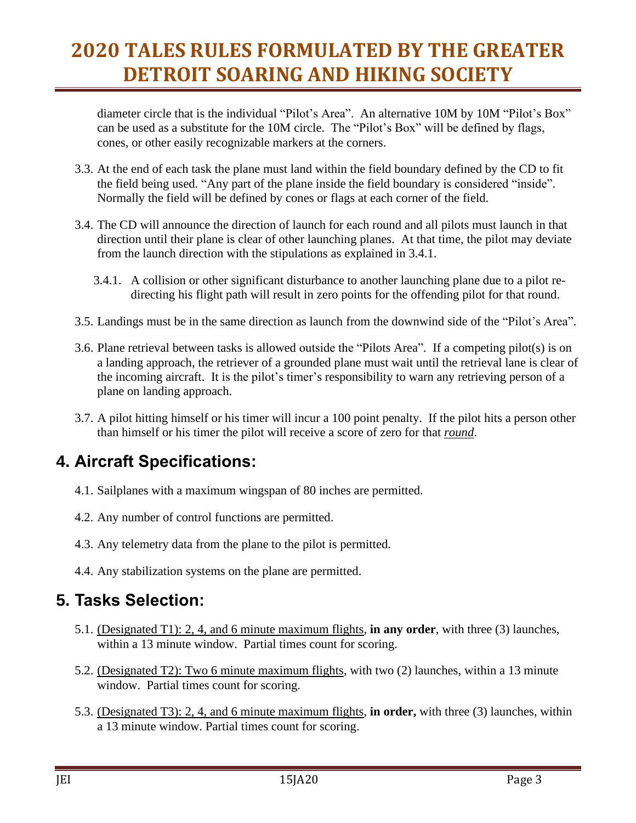diameter circle that is the individual "Pilot's Area". An alternative 10M by 10M "Pilot's Box" can be used as a substitute for the 10M circle. The "Pilot's Box" will be defined by flags, cones, or other easily recognizable markers at the corners.

- 3.3. At the end of each task the plane must land within the field boundary defined by the CD to fit the field being used. "Any part of the plane inside the field boundary is considered "inside". Normally the field will be defined by cones or flags at each corner of the field.
- 3.4. The CD will announce the direction of launch for each round and all pilots must launch in that direction until their plane is clear of other launching planes. At that time, the pilot may deviate from the launch direction with the stipulations as explained in 3.4.1.
	- 3.4.1. A collision or other significant disturbance to another launching plane due to a pilot redirecting his flight path will result in zero points for the offending pilot for that round.
- 3.5. Landings must be in the same direction as launch from the downwind side of the "Pilot's Area".
- 3.6. Plane retrieval between tasks is allowed outside the "Pilots Area". If a competing pilot(s) is on a landing approach, the retriever of a grounded plane must wait until the retrieval lane is clear of the incoming aircraft. It is the pilot's timer's responsibility to warn any retrieving person of a plane on landing approach.
- 3.7. A pilot hitting himself or his timer will incur a 100 point penalty. If the pilot hits a person other than himself or his timer the pilot will receive a score of zero for that *round*.

### **4. Aircraft Specifications:**

- 4.1. Sailplanes with a maximum wingspan of 80 inches are permitted.
- 4.2. Any number of control functions are permitted.
- 4.3. Any telemetry data from the plane to the pilot is permitted.
- 4.4. Any stabilization systems on the plane are permitted.

### **5. Tasks Selection:**

- 5.1. (Designated T1): 2, 4, and 6 minute maximum flights, **in any order**, with three (3) launches, within a 13 minute window. Partial times count for scoring.
- 5.2. (Designated T2): Two 6 minute maximum flights, with two (2) launches, within a 13 minute window. Partial times count for scoring.
- 5.3. (Designated T3): 2, 4, and 6 minute maximum flights, **in order,** with three (3) launches, within a 13 minute window. Partial times count for scoring.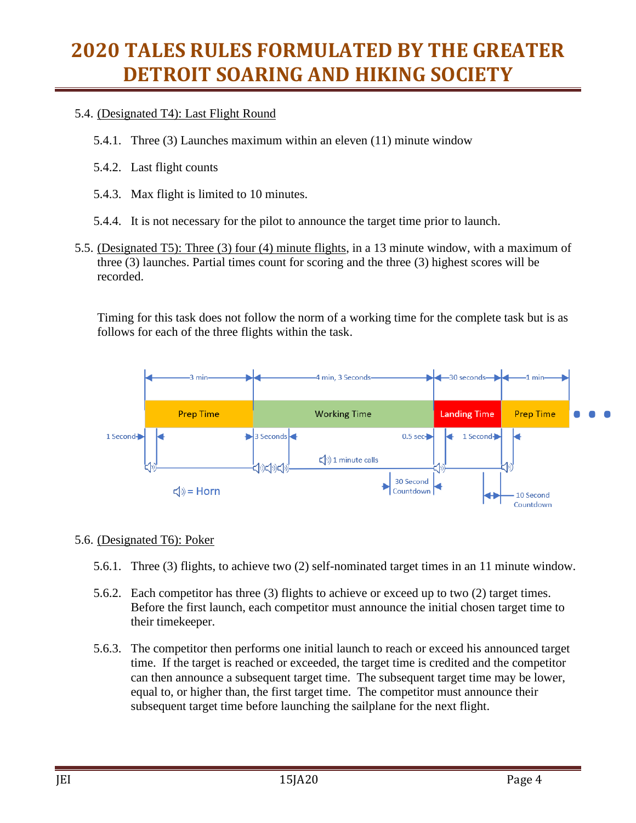#### 5.4. (Designated T4): Last Flight Round

- 5.4.1. Three (3) Launches maximum within an eleven (11) minute window
- 5.4.2. Last flight counts
- 5.4.3. Max flight is limited to 10 minutes.
- 5.4.4. It is not necessary for the pilot to announce the target time prior to launch.
- 5.5. (Designated T5): Three (3) four (4) minute flights, in a 13 minute window, with a maximum of three (3) launches. Partial times count for scoring and the three (3) highest scores will be recorded.

Timing for this task does not follow the norm of a working time for the complete task but is as follows for each of the three flights within the task.



#### 5.6. (Designated T6): Poker

- 5.6.1. Three (3) flights, to achieve two (2) self-nominated target times in an 11 minute window.
- 5.6.2. Each competitor has three (3) flights to achieve or exceed up to two (2) target times. Before the first launch, each competitor must announce the initial chosen target time to their timekeeper.
- 5.6.3. The competitor then performs one initial launch to reach or exceed his announced target time. If the target is reached or exceeded, the target time is credited and the competitor can then announce a subsequent target time. The subsequent target time may be lower, equal to, or higher than, the first target time. The competitor must announce their subsequent target time before launching the sailplane for the next flight.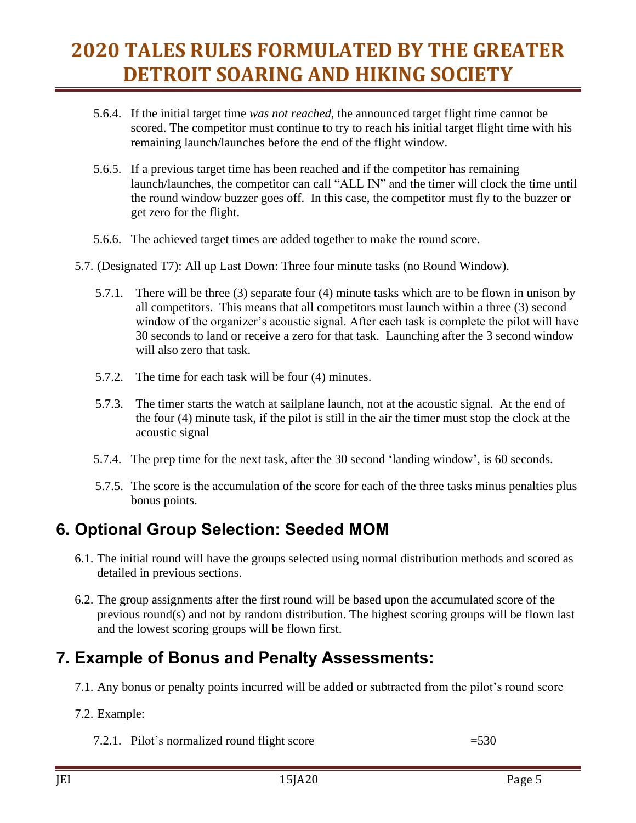- 5.6.4. If the initial target time *was not reached*, the announced target flight time cannot be scored. The competitor must continue to try to reach his initial target flight time with his remaining launch/launches before the end of the flight window.
- 5.6.5. If a previous target time has been reached and if the competitor has remaining launch/launches, the competitor can call "ALL IN" and the timer will clock the time until the round window buzzer goes off. In this case, the competitor must fly to the buzzer or get zero for the flight.
- 5.6.6. The achieved target times are added together to make the round score.
- 5.7. (Designated T7): All up Last Down: Three four minute tasks (no Round Window).
	- 5.7.1. There will be three (3) separate four (4) minute tasks which are to be flown in unison by all competitors. This means that all competitors must launch within a three (3) second window of the organizer's acoustic signal. After each task is complete the pilot will have 30 seconds to land or receive a zero for that task. Launching after the 3 second window will also zero that task.
	- 5.7.2. The time for each task will be four (4) minutes.
	- 5.7.3. The timer starts the watch at sailplane launch, not at the acoustic signal. At the end of the four (4) minute task, if the pilot is still in the air the timer must stop the clock at the acoustic signal
	- 5.7.4. The prep time for the next task, after the 30 second 'landing window', is 60 seconds.
	- 5.7.5. The score is the accumulation of the score for each of the three tasks minus penalties plus bonus points.

### **6. Optional Group Selection: Seeded MOM**

- 6.1. The initial round will have the groups selected using normal distribution methods and scored as detailed in previous sections.
- 6.2. The group assignments after the first round will be based upon the accumulated score of the previous round(s) and not by random distribution. The highest scoring groups will be flown last and the lowest scoring groups will be flown first.

### **7. Example of Bonus and Penalty Assessments:**

- 7.1. Any bonus or penalty points incurred will be added or subtracted from the pilot's round score
- 7.2. Example:
	- 7.2.1. Pilot's normalized round flight score  $=530$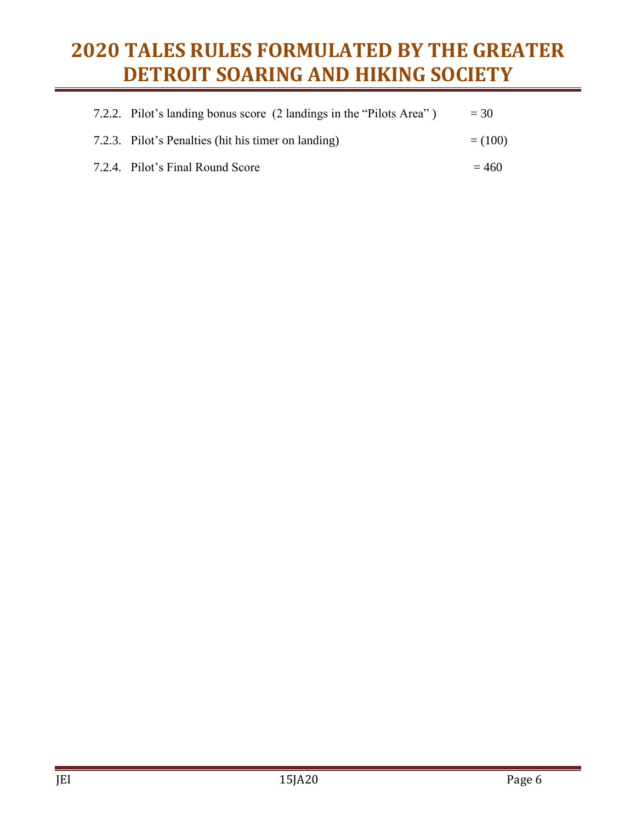| 7.2.2. Pilot's landing bonus score (2 landings in the "Pilots Area") | $= 30$    |
|----------------------------------------------------------------------|-----------|
| 7.2.3. Pilot's Penalties (hit his timer on landing)                  | $= (100)$ |
| 7.2.4. Pilot's Final Round Score                                     | $= 460$   |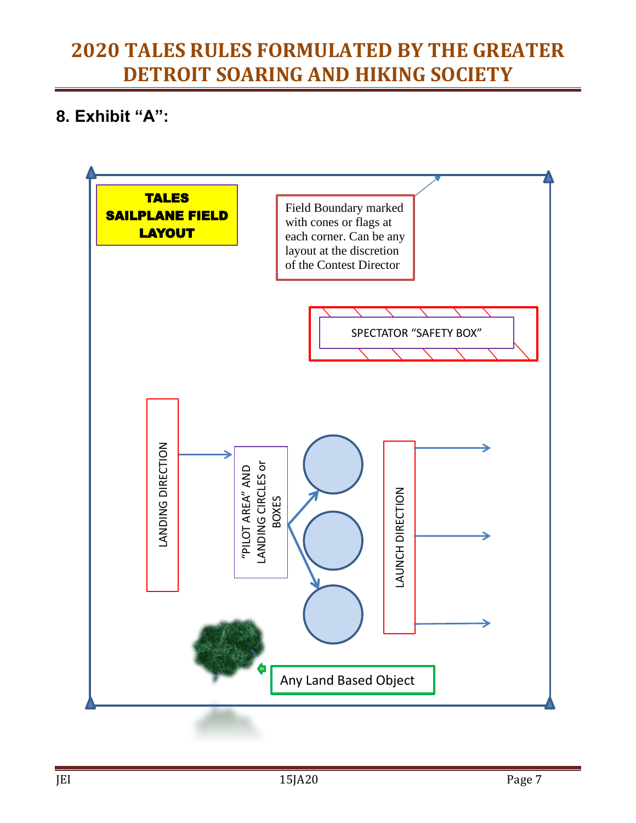### **8. Exhibit "A":**